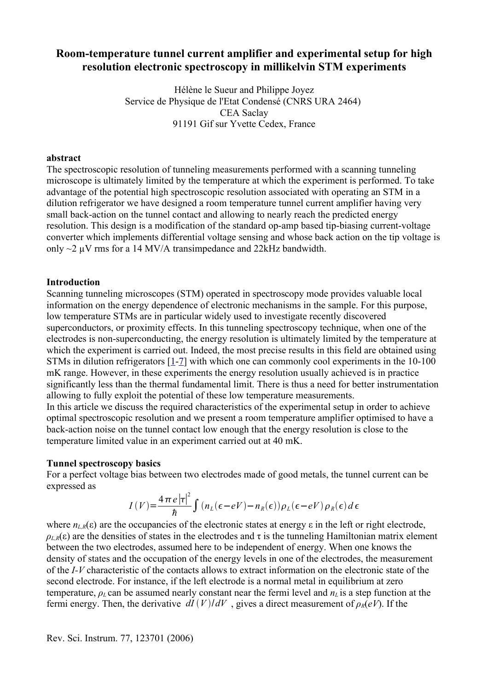# **Room-temperature tunnel current amplifier and experimental setup for high resolution electronic spectroscopy in millikelvin STM experiments**

Hélène le Sueur and Philippe Joyez Service de Physique de l'Etat Condensé (CNRS URA 2464) CEA Saclay 91191 Gif sur Yvette Cedex, France

## **abstract**

The spectroscopic resolution of tunneling measurements performed with a scanning tunneling microscope is ultimately limited by the temperature at which the experiment is performed. To take advantage of the potential high spectroscopic resolution associated with operating an STM in a dilution refrigerator we have designed a room temperature tunnel current amplifier having very small back-action on the tunnel contact and allowing to nearly reach the predicted energy resolution. This design is a modification of the standard op-amp based tip-biasing current-voltage converter which implements differential voltage sensing and whose back action on the tip voltage is only  $\sim$ 2  $\mu$ V rms for a 14 MV/A transimpedance and 22kHz bandwidth.

## **Introduction**

Scanning tunneling microscopes (STM) operated in spectroscopy mode provides valuable local information on the energy dependence of electronic mechanisms in the sample. For this purpose, low temperature STMs are in particular widely used to investigate recently discovered superconductors, or proximity effects. In this tunneling spectroscopy technique, when one of the electrodes is non-superconducting, the energy resolution is ultimately limited by the temperature at which the experiment is carried out. Indeed, the most precise results in this field are obtained using STMs in dilution refrigerators [[1](#page-6-0)-[7](#page-6-1)] with which one can commonly cool experiments in the 10-100 mK range. However, in these experiments the energy resolution usually achieved is in practice significantly less than the thermal fundamental limit. There is thus a need for better instrumentation allowing to fully exploit the potential of these low temperature measurements. In this article we discuss the required characteristics of the experimental setup in order to achieve optimal spectroscopic resolution and we present a room temperature amplifier optimised to have a

back-action noise on the tunnel contact low enough that the energy resolution is close to the temperature limited value in an experiment carried out at 40 mK.

## **Tunnel spectroscopy basics**

For a perfect voltage bias between two electrodes made of good metals, the tunnel current can be expressed as

$$
I(V) = \frac{4\pi e |\tau|^2}{\hbar} \int (n_L(\epsilon - eV) - n_R(\epsilon)) \rho_L(\epsilon - eV) \rho_R(\epsilon) d\epsilon
$$

where  $n_{LR}(\varepsilon)$  are the occupancies of the electronic states at energy  $\varepsilon$  in the left or right electrode,  $\rho_{LR}(\varepsilon)$  are the densities of states in the electrodes and  $\tau$  is the tunneling Hamiltonian matrix element between the two electrodes, assumed here to be independent of energy. When one knows the density of states and the occupation of the energy levels in one of the electrodes, the measurement of the *I-V* characteristic of the contacts allows to extract information on the electronic state of the second electrode. For instance, if the left electrode is a normal metal in equilibrium at zero temperature, *ρ<sup>L</sup>* can be assumed nearly constant near the fermi level and *n<sup>L</sup>* is a step function at the fermi energy. Then, the derivative  $dI(V)/dV$ , gives a direct measurement of  $\rho_R(eV)$ . If the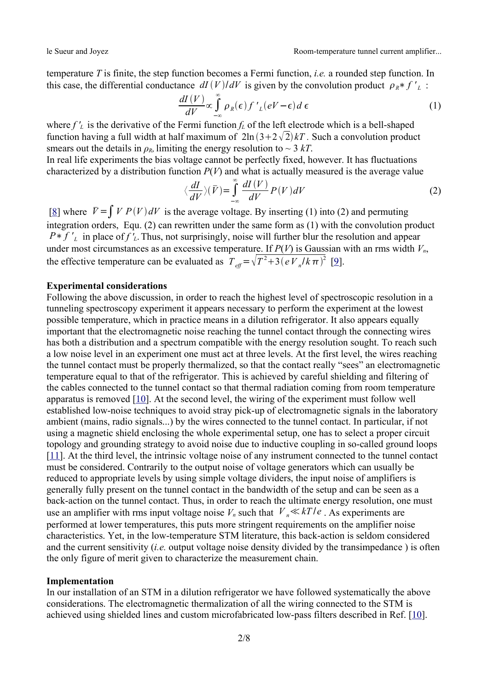temperature *T* is finite, the step function becomes a Fermi function, *i.e.* a rounded step function. In this case, the differential conductance  $dI(V)/dV$  is given by the convolution product  $\rho_R * f'_{L}$ :

$$
\frac{dI(V)}{dV} \propto \int_{-\infty}^{\infty} \rho_R(\epsilon) f'_{L}(eV - \epsilon) d\epsilon
$$
 (1)

where  $f'_L$  is the derivative of the Fermi function  $f_L$  of the left electrode which is a bell-shaped function having a full width at half maximum of  $2\ln(3+2\sqrt{2})kT$ . Such a convolution product smears out the details in  $\rho_R$ , limiting the energy resolution to  $\sim$  3 kT.

In real life experiments the bias voltage cannot be perfectly fixed, however. It has fluctuations characterized by a distribution function  $P(V)$  and what is actually measured is the average value

$$
\langle \frac{dI}{dV} \rangle (\bar{V}) = \int_{-\infty}^{\infty} \frac{dI(V)}{dV} P(V) dV
$$
 (2)

[[8\]](#page-6-5) where  $\bar{V} = \int V P(V) dV$  is the average voltage. By inserting (1) into (2) and permuting integration orders, Equ. (2) can rewritten under the same form as (1) with the convolution product *P*  $\ast$  *f*  $\prime$ <sub>*L*</sub> in place of *f*  $\prime$ <sub>*L*</sub>. Thus, not surprisingly, noise will further blur the resolution and appear under most circumstances as an excessive temperature. If  $P(V)$  is Gaussian with an rms width  $V_n$ , the effective temperature can be evaluated as  $T_{\text{eff}} = \sqrt{T^2 + 3 (eV_n/k\pi)^2}$  [\[9](#page-6-4)].

## **Experimental considerations**

Following the above discussion, in order to reach the highest level of spectroscopic resolution in a tunneling spectroscopy experiment it appears necessary to perform the experiment at the lowest possible temperature, which in practice means in a dilution refrigerator. It also appears equally important that the electromagnetic noise reaching the tunnel contact through the connecting wires has both a distribution and a spectrum compatible with the energy resolution sought. To reach such a low noise level in an experiment one must act at three levels. At the first level, the wires reaching the tunnel contact must be properly thermalized, so that the contact really "sees" an electromagnetic temperature equal to that of the refrigerator. This is achieved by careful shielding and filtering of the cables connected to the tunnel contact so that thermal radiation coming from room temperature apparatus is removed [[10\]](#page-6-2). At the second level, the wiring of the experiment must follow well established low-noise techniques to avoid stray pick-up of electromagnetic signals in the laboratory ambient (mains, radio signals...) by the wires connected to the tunnel contact. In particular, if not using a magnetic shield enclosing the whole experimental setup, one has to select a proper circuit topology and grounding strategy to avoid noise due to inductive coupling in so-called ground loops [[11\]](#page-6-3). At the third level, the intrinsic voltage noise of any instrument connected to the tunnel contact must be considered. Contrarily to the output noise of voltage generators which can usually be reduced to appropriate levels by using simple voltage dividers, the input noise of amplifiers is generally fully present on the tunnel contact in the bandwidth of the setup and can be seen as a back-action on the tunnel contact. Thus, in order to reach the ultimate energy resolution, one must use an amplifier with rms input voltage noise  $V_n$  such that  $V_n \ll kT/e$ . As experiments are performed at lower temperatures, this puts more stringent requirements on the amplifier noise characteristics. Yet, in the low-temperature STM literature, this back-action is seldom considered and the current sensitivity (*i.e.* output voltage noise density divided by the transimpedance ) is often the only figure of merit given to characterize the measurement chain.

#### **Implementation**

In our installation of an STM in a dilution refrigerator we have followed systematically the above considerations. The electromagnetic thermalization of all the wiring connected to the STM is achieved using shielded lines and custom microfabricated low-pass filters described in Ref. [\[10](#page-6-2)].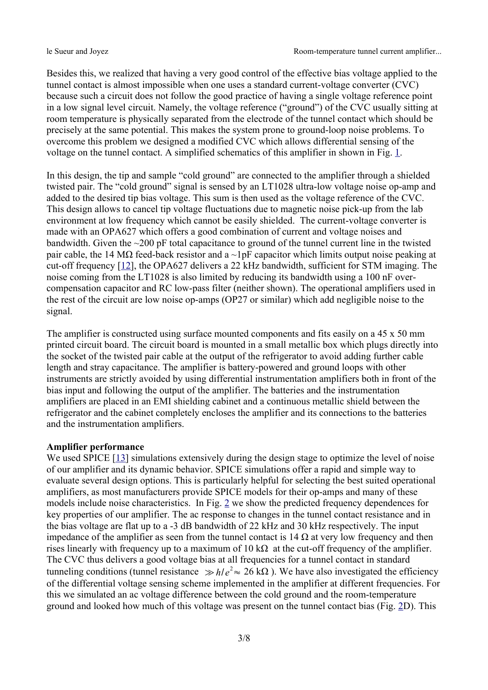Besides this, we realized that having a very good control of the effective bias voltage applied to the tunnel contact is almost impossible when one uses a standard current-voltage converter (CVC) because such a circuit does not follow the good practice of having a single voltage reference point in a low signal level circuit. Namely, the voltage reference ("ground") of the CVC usually sitting at room temperature is physically separated from the electrode of the tunnel contact which should be precisely at the same potential. This makes the system prone to ground-loop noise problems. To overcome this problem we designed a modified CVC which allows differential sensing of the voltage on the tunnel contact. A simplified schematics of this amplifier in shown in Fig. [1.](#page-4-0)

In this design, the tip and sample "cold ground" are connected to the amplifier through a shielded twisted pair. The "cold ground" signal is sensed by an LT1028 ultra-low voltage noise op-amp and added to the desired tip bias voltage. This sum is then used as the voltage reference of the CVC. This design allows to cancel tip voltage fluctuations due to magnetic noise pick-up from the lab environment at low frequency which cannot be easily shielded. The current-voltage converter is made with an OPA627 which offers a good combination of current and voltage noises and bandwidth. Given the ~200 pF total capacitance to ground of the tunnel current line in the twisted pair cable, the 14 M $\Omega$  feed-back resistor and a ~1pF capacitor which limits output noise peaking at cut-off frequency [\[12\]](#page-7-1), the OPA627 delivers a 22 kHz bandwidth, sufficient for STM imaging. The noise coming from the LT1028 is also limited by reducing its bandwidth using a 100 nF overcompensation capacitor and RC low-pass filter (neither shown). The operational amplifiers used in the rest of the circuit are low noise op-amps (OP27 or similar) which add negligible noise to the signal.

The amplifier is constructed using surface mounted components and fits easily on a 45 x 50 mm printed circuit board. The circuit board is mounted in a small metallic box which plugs directly into the socket of the twisted pair cable at the output of the refrigerator to avoid adding further cable length and stray capacitance. The amplifier is battery-powered and ground loops with other instruments are strictly avoided by using differential instrumentation amplifiers both in front of the bias input and following the output of the amplifier. The batteries and the instrumentation amplifiers are placed in an EMI shielding cabinet and a continuous metallic shield between the refrigerator and the cabinet completely encloses the amplifier and its connections to the batteries and the instrumentation amplifiers.

### **Amplifier performance**

We used SPICE [\[13](#page-7-0)] simulations extensively during the design stage to optimize the level of noise of our amplifier and its dynamic behavior. SPICE simulations offer a rapid and simple way to evaluate several design options. This is particularly helpful for selecting the best suited operational amplifiers, as most manufacturers provide SPICE models for their op-amps and many of these models include noise characteristics. In Fig. [2](#page-5-0) we show the predicted frequency dependences for key properties of our amplifier. The ac response to changes in the tunnel contact resistance and in the bias voltage are flat up to a -3 dB bandwidth of 22 kHz and 30 kHz respectively. The input impedance of the amplifier as seen from the tunnel contact is 14  $\Omega$  at very low frequency and then rises linearly with frequency up to a maximum of 10 k $\Omega$  at the cut-off frequency of the amplifier. The CVC thus delivers a good voltage bias at all frequencies for a tunnel contact in standard tunneling conditions (tunnel resistance  $\gg h/e^2 \approx 26 \text{ k}\Omega$ ). We have also investigated the efficiency of the differential voltage sensing scheme implemented in the amplifier at different frequencies. For this we simulated an ac voltage difference between the cold ground and the room-temperature ground and looked how much of this voltage was present on the tunnel contact bias (Fig. [2D](#page-5-0)). This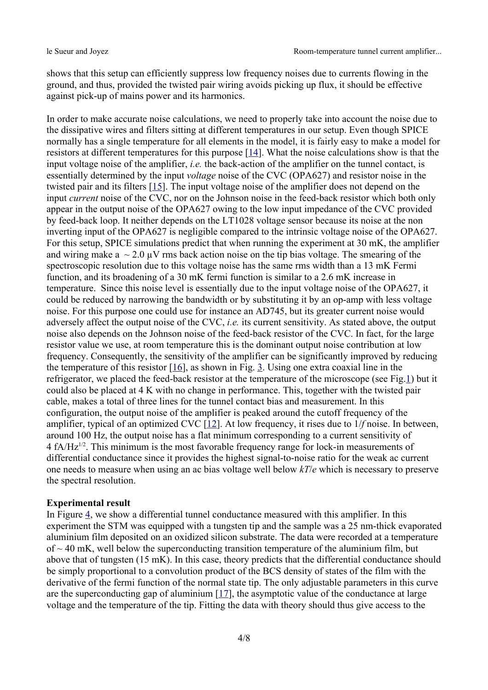shows that this setup can efficiently suppress low frequency noises due to currents flowing in the ground, and thus, provided the twisted pair wiring avoids picking up flux, it should be effective against pick-up of mains power and its harmonics.

In order to make accurate noise calculations, we need to properly take into account the noise due to the dissipative wires and filters sitting at different temperatures in our setup. Even though SPICE normally has a single temperature for all elements in the model, it is fairly easy to make a model for resistors at different temperatures for this purpose  $[14]$  $[14]$  $[14]$ . What the noise calculations show is that the input voltage noise of the amplifier, *i.e.* the back-action of the amplifier on the tunnel contact, is essentially determined by the input *voltage* noise of the CVC (OPA627) and resistor noise in the twisted pair and its filters [[15\]](#page-7-4). The input voltage noise of the amplifier does not depend on the input *current* noise of the CVC, nor on the Johnson noise in the feed-back resistor which both only appear in the output noise of the OPA627 owing to the low input impedance of the CVC provided by feed-back loop. It neither depends on the LT1028 voltage sensor because its noise at the non inverting input of the OPA627 is negligible compared to the intrinsic voltage noise of the OPA627. For this setup, SPICE simulations predict that when running the experiment at 30 mK, the amplifier and wiring make a  $\sim 2.0 \mu V$  rms back action noise on the tip bias voltage. The smearing of the spectroscopic resolution due to this voltage noise has the same rms width than a 13 mK Fermi function, and its broadening of a 30 mK fermi function is similar to a 2.6 mK increase in temperature. Since this noise level is essentially due to the input voltage noise of the OPA627, it could be reduced by narrowing the bandwidth or by substituting it by an op-amp with less voltage noise. For this purpose one could use for instance an AD745, but its greater current noise would adversely affect the output noise of the CVC, *i.e.* its current sensitivity. As stated above, the output noise also depends on the Johnson noise of the feed-back resistor of the CVC. In fact, for the large resistor value we use, at room temperature this is the dominant output noise contribution at low frequency. Consequently, the sensitivity of the amplifier can be significantly improved by reducing the temperature of this resistor  $[16]$  $[16]$ , as shown in Fig. [3](#page-5-1). Using one extra coaxial line in the refrigerator, we placed the feed-back resistor at the temperature of the microscope (see Fig.[1\)](#page-4-0) but it could also be placed at 4 K with no change in performance. This, together with the twisted pair cable, makes a total of three lines for the tunnel contact bias and measurement. In this configuration, the output noise of the amplifier is peaked around the cutoff frequency of the amplifier, typical of an optimized CVC [\[12](#page-7-1)]. At low frequency, it rises due to 1/*f* noise. In between, around 100 Hz, the output noise has a flat minimum corresponding to a current sensitivity of 4  $fA/Hz^{1/2}$ . This minimum is the most favorable frequency range for lock-in measurements of differential conductance since it provides the highest signal-to-noise ratio for the weak ac current one needs to measure when using an ac bias voltage well below *kT*/*e* which is necessary to preserve the spectral resolution.

#### **Experimental result**

In Figure [4](#page-6-6), we show a differential tunnel conductance measured with this amplifier. In this experiment the STM was equipped with a tungsten tip and the sample was a 25 nm-thick evaporated aluminium film deposited on an oxidized silicon substrate. The data were recorded at a temperature of  $\sim$  40 mK, well below the superconducting transition temperature of the aluminium film, but above that of tungsten (15 mK). In this case, theory predicts that the differential conductance should be simply proportional to a convolution product of the BCS density of states of the film with the derivative of the fermi function of the normal state tip. The only adjustable parameters in this curve are the superconducting gap of aluminium [[17\]](#page-7-2), the asymptotic value of the conductance at large voltage and the temperature of the tip. Fitting the data with theory should thus give access to the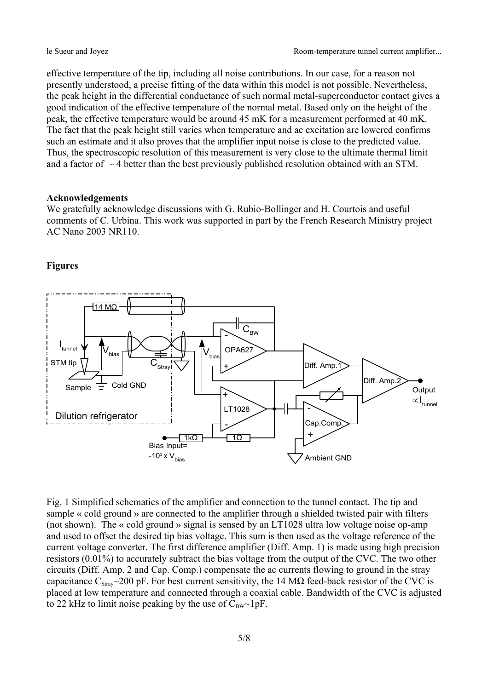effective temperature of the tip, including all noise contributions. In our case, for a reason not presently understood, a precise fitting of the data within this model is not possible. Nevertheless, the peak height in the differential conductance of such normal metal-superconductor contact gives a good indication of the effective temperature of the normal metal. Based only on the height of the peak, the effective temperature would be around 45 mK for a measurement performed at 40 mK. The fact that the peak height still varies when temperature and ac excitation are lowered confirms such an estimate and it also proves that the amplifier input noise is close to the predicted value. Thus, the spectroscopic resolution of this measurement is very close to the ultimate thermal limit and a factor of  $\sim$  4 better than the best previously published resolution obtained with an STM.

#### **Acknowledgements**

We gratefully acknowledge discussions with G. Rubio-Bollinger and H. Courtois and useful comments of C. Urbina. This work was supported in part by the French Research Ministry project AC Nano 2003 NR110.

## **Figures**



<span id="page-4-0"></span>Fig. 1 Simplified schematics of the amplifier and connection to the tunnel contact. The tip and sample « cold ground » are connected to the amplifier through a shielded twisted pair with filters (not shown). The « cold ground » signal is sensed by an LT1028 ultra low voltage noise op-amp and used to offset the desired tip bias voltage. This sum is then used as the voltage reference of the current voltage converter. The first difference amplifier (Diff. Amp. 1) is made using high precision resistors (0.01%) to accurately subtract the bias voltage from the output of the CVC. The two other circuits (Diff. Amp. 2 and Cap. Comp.) compensate the ac currents flowing to ground in the stray capacitance  $C_{\text{Strav}}$  ~200 pF. For best current sensitivity, the 14 M $\Omega$  feed-back resistor of the CVC is placed at low temperature and connected through a coaxial cable. Bandwidth of the CVC is adjusted to 22 kHz to limit noise peaking by the use of  $C_{BW}$  -1pF.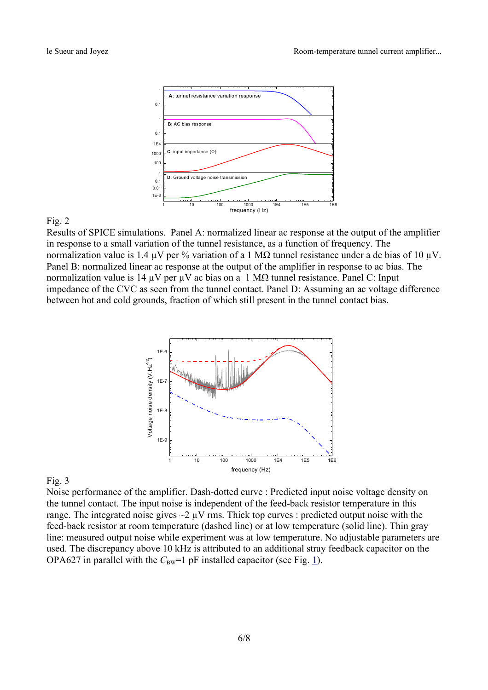

### <span id="page-5-0"></span>Fig. 2

Results of SPICE simulations. Panel A: normalized linear ac response at the output of the amplifier in response to a small variation of the tunnel resistance, as a function of frequency. The normalization value is 1.4  $\mu$ V per % variation of a 1 M $\Omega$  tunnel resistance under a dc bias of 10  $\mu$ V. Panel B: normalized linear ac response at the output of the amplifier in response to ac bias. The normalization value is 14 μV per μV ac bias on a 1 MΩ tunnel resistance. Panel C: Input impedance of the CVC as seen from the tunnel contact. Panel D: Assuming an ac voltage difference between hot and cold grounds, fraction of which still present in the tunnel contact bias.



## <span id="page-5-1"></span>Fig. 3

Noise performance of the amplifier. Dash-dotted curve : Predicted input noise voltage density on the tunnel contact. The input noise is independent of the feed-back resistor temperature in this range. The integrated noise gives  $\sim$ 2  $\mu$ V rms. Thick top curves : predicted output noise with the feed-back resistor at room temperature (dashed line) or at low temperature (solid line). Thin gray line: measured output noise while experiment was at low temperature. No adjustable parameters are used. The discrepancy above 10 kHz is attributed to an additional stray feedback capacitor on the OPA627 in parallel with the  $C_{\text{BW}}=1$  pF installed capacitor (see Fig. [1\)](#page-4-0).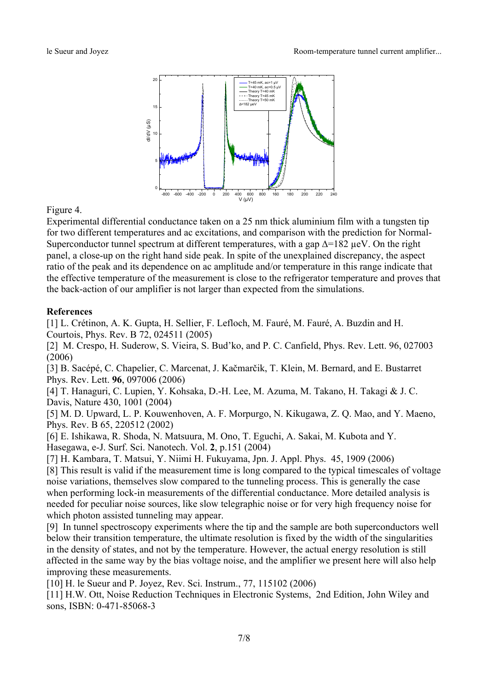

## <span id="page-6-6"></span>Figure 4.

Experimental differential conductance taken on a 25 nm thick aluminium film with a tungsten tip for two different temperatures and ac excitations, and comparison with the prediction for Normal-Superconductor tunnel spectrum at different temperatures, with a gap  $\Delta$ =182 µeV. On the right panel, a close-up on the right hand side peak. In spite of the unexplained discrepancy, the aspect ratio of the peak and its dependence on ac amplitude and/or temperature in this range indicate that the effective temperature of the measurement is close to the refrigerator temperature and proves that the back-action of our amplifier is not larger than expected from the simulations.

## **References**

<span id="page-6-0"></span>[1] L. Crétinon, A. K. Gupta, H. Sellier, F. Lefloch, M. Fauré, M. Fauré, A. Buzdin and H. Courtois, Phys. Rev. B 72, 024511 (2005)

[2] M. Crespo, H. Suderow, S. Vieira, S. Bud'ko, and P. C. Canfield, Phys. Rev. Lett. 96, 027003 (2006)

[3] B. Sacépé, C. Chapelier, C. Marcenat, J. Kačmarčik, T. Klein, M. Bernard, and E. Bustarret Phys. Rev. Lett. **96**, 097006 (2006)

[4] T. Hanaguri, C. Lupien, Y. Kohsaka, D.-H. Lee, M. Azuma, M. Takano, H. Takagi & J. C. Davis, Nature 430, 1001 (2004)

[5] M. D. Upward, L. P. Kouwenhoven, A. F. Morpurgo, N. Kikugawa, Z. Q. Mao, and Y. Maeno, Phys. Rev. B 65, 220512 (2002)

[6] E. Ishikawa, R. Shoda, N. Matsuura, M. Ono, T. Eguchi, A. Sakai, M. Kubota and Y. Hasegawa, e-J. Surf. Sci. Nanotech. Vol. **2**, p.151 (2004)

<span id="page-6-1"></span>[7] H. Kambara, T. Matsui, Y. Niimi H. Fukuyama, Jpn. J. Appl. Phys. 45, 1909 (2006)

<span id="page-6-5"></span>[8] This result is valid if the measurement time is long compared to the typical timescales of voltage noise variations, themselves slow compared to the tunneling process. This is generally the case when performing lock-in measurements of the differential conductance. More detailed analysis is needed for peculiar noise sources, like slow telegraphic noise or for very high frequency noise for which photon assisted tunneling may appear.

<span id="page-6-4"></span>[9] In tunnel spectroscopy experiments where the tip and the sample are both superconductors well below their transition temperature, the ultimate resolution is fixed by the width of the singularities in the density of states, and not by the temperature. However, the actual energy resolution is still affected in the same way by the bias voltage noise, and the amplifier we present here will also help improving these measurements.

<span id="page-6-2"></span>[10] H. le Sueur and P. Joyez, Rev. Sci. Instrum., 77, 115102 (2006)

<span id="page-6-3"></span>[11] H.W. Ott, Noise Reduction Techniques in Electronic Systems, 2nd Edition, John Wiley and sons, ISBN: 0-471-85068-3